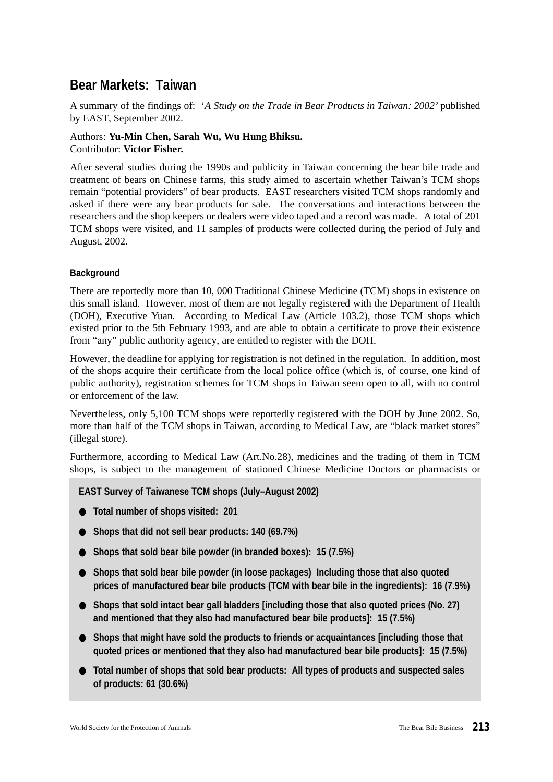# **Bear Markets: Taiwan**

A summary of the findings of: '*A Study on the Trade in Bear Products in Taiwan: 2002'* published by EAST, September 2002.

## Authors: **Yu-Min Chen, Sarah Wu, Wu Hung Bhiksu.** Contributor: **Victor Fisher.**

After several studies during the 1990s and publicity in Taiwan concerning the bear bile trade and treatment of bears on Chinese farms, this study aimed to ascertain whether Taiwan's TCM shops remain "potential providers" of bear products. EAST researchers visited TCM shops randomly and asked if there were any bear products for sale. The conversations and interactions between the researchers and the shop keepers or dealers were video taped and a record was made. A total of 201 TCM shops were visited, and 11 samples of products were collected during the period of July and August, 2002.

# **Background**

There are reportedly more than 10, 000 Traditional Chinese Medicine (TCM) shops in existence on this small island. However, most of them are not legally registered with the Department of Health (DOH), Executive Yuan. According to Medical Law (Article 103.2), those TCM shops which existed prior to the 5th February 1993, and are able to obtain a certificate to prove their existence from "any" public authority agency, are entitled to register with the DOH.

However, the deadline for applying for registration is not defined in the regulation. In addition, most of the shops acquire their certificate from the local police office (which is, of course, one kind of public authority), registration schemes for TCM shops in Taiwan seem open to all, with no control or enforcement of the law.

Nevertheless, only 5,100 TCM shops were reportedly registered with the DOH by June 2002. So, more than half of the TCM shops in Taiwan, according to Medical Law, are "black market stores" (illegal store).

Furthermore, according to Medical Law (Art.No.28), medicines and the trading of them in TCM shops, is subject to the management of stationed Chinese Medicine Doctors or pharmacists or

#### **EAST Survey of Taiwanese TCM shops (July–August 2002)**

- **Total number of shops visited: 201**
- **Shops that did not sell bear products: 140 (69.7%)**
- Shops that sold bear bile powder (in branded boxes): 15 (7.5%)
- **Shops that sold bear bile powder (in loose packages) Including those that also quoted prices of manufactured bear bile products (TCM with bear bile in the ingredients): 16 (7.9%)**
- Shops that sold intact bear gall bladders [including those that also quoted prices (No. 27) **and mentioned that they also had manufactured bear bile products]: 15 (7.5%)**
- **Shops that might have sold the products to friends or acquaintances [including those that quoted prices or mentioned that they also had manufactured bear bile products]: 15 (7.5%)**
- **Total number of shops that sold bear products: All types of products and suspected sales of products: 61 (30.6%)**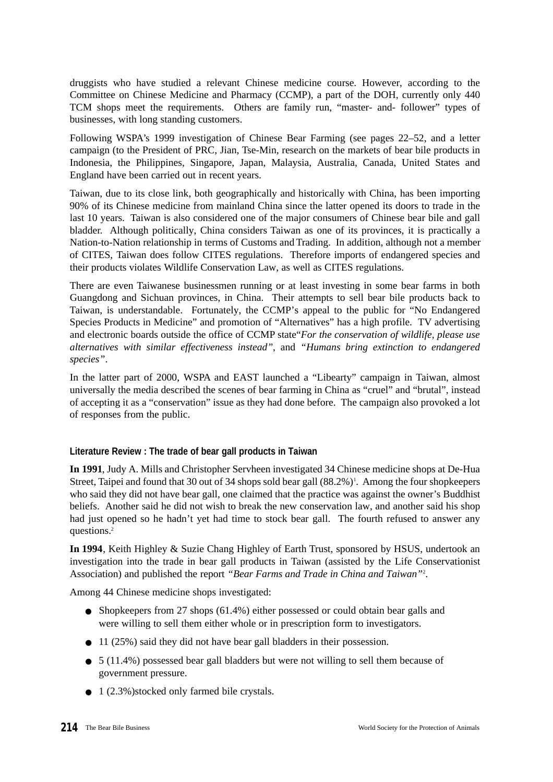druggists who have studied a relevant Chinese medicine course. However, according to the Committee on Chinese Medicine and Pharmacy (CCMP), a part of the DOH, currently only 440 TCM shops meet the requirements. Others are family run, "master- and- follower" types of businesses, with long standing customers.

Following WSPA's 1999 investigation of Chinese Bear Farming (see pages 22–52, and a letter campaign (to the President of PRC, Jian, Tse-Min, research on the markets of bear bile products in Indonesia, the Philippines, Singapore, Japan, Malaysia, Australia, Canada, United States and England have been carried out in recent years.

Taiwan, due to its close link, both geographically and historically with China, has been importing 90% of its Chinese medicine from mainland China since the latter opened its doors to trade in the last 10 years. Taiwan is also considered one of the major consumers of Chinese bear bile and gall bladder. Although politically, China considers Taiwan as one of its provinces, it is practically a Nation-to-Nation relationship in terms of Customs and Trading. In addition, although not a member of CITES, Taiwan does follow CITES regulations. Therefore imports of endangered species and their products violates Wildlife Conservation Law, as well as CITES regulations.

There are even Taiwanese businessmen running or at least investing in some bear farms in both Guangdong and Sichuan provinces, in China. Their attempts to sell bear bile products back to Taiwan, is understandable. Fortunately, the CCMP's appeal to the public for "No Endangered Species Products in Medicine" and promotion of "Alternatives" has a high profile. TV advertising and electronic boards outside the office of CCMP state"*For the conservation of wildlife, please use alternatives with similar effectiveness instead"*, and *"Humans bring extinction to endangered species"*.

In the latter part of 2000, WSPA and EAST launched a "Libearty" campaign in Taiwan, almost universally the media described the scenes of bear farming in China as "cruel" and "brutal", instead of accepting it as a "conservation" issue as they had done before. The campaign also provoked a lot of responses from the public.

#### **Literature Review : The trade of bear gall products in Taiwan**

**In 1991**, Judy A. Mills and Christopher Servheen investigated 34 Chinese medicine shops at De-Hua Street, Taipei and found that 30 out of 34 shops sold bear gall (88.2%)<sup>1</sup>. Among the four shopkeepers who said they did not have bear gall, one claimed that the practice was against the owner's Buddhist beliefs. Another said he did not wish to break the new conservation law, and another said his shop had just opened so he hadn't yet had time to stock bear gall. The fourth refused to answer any questions.<sup>2</sup>

**In 1994**, Keith Highley & Suzie Chang Highley of Earth Trust, sponsored by HSUS, undertook an investigation into the trade in bear gall products in Taiwan (assisted by the Life Conservationist Association) and published the report *"Bear Farms and Trade in China and Taiwan"*<sup>2</sup> .

Among 44 Chinese medicine shops investigated:

- Shopkeepers from 27 shops (61.4%) either possessed or could obtain bear galls and were willing to sell them either whole or in prescription form to investigators.
- 11 (25%) said they did not have bear gall bladders in their possession.
- $\bullet$  5 (11.4%) possessed bear gall bladders but were not willing to sell them because of government pressure.
- 1 (2.3%)stocked only farmed bile crystals.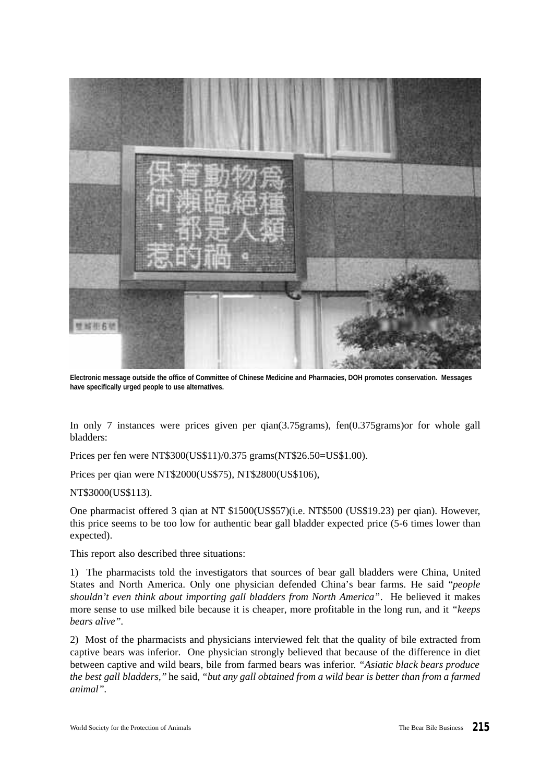

**Electronic message outside the office of Committee of Chinese Medicine and Pharmacies, DOH promotes conservation. Messages have specifically urged people to use alternatives.**

In only 7 instances were prices given per qian(3.75grams), fen(0.375grams)or for whole gall bladders:

Prices per fen were NT\$300(US\$11)/0.375 grams(NT\$26.50=US\$1.00).

Prices per qian were NT\$2000(US\$75), NT\$2800(US\$106),

NT\$3000(US\$113).

One pharmacist offered 3 qian at NT \$1500(US\$57)(i.e. NT\$500 (US\$19.23) per qian). However, this price seems to be too low for authentic bear gall bladder expected price (5-6 times lower than expected).

This report also described three situations:

1) The pharmacists told the investigators that sources of bear gall bladders were China, United States and North America. Only one physician defended China's bear farms. He said "*people shouldn't even think about importing gall bladders from North America"*. He believed it makes more sense to use milked bile because it is cheaper, more profitable in the long run, and it *"keeps bears alive".*

2) Most of the pharmacists and physicians interviewed felt that the quality of bile extracted from captive bears was inferior. One physician strongly believed that because of the difference in diet between captive and wild bears, bile from farmed bears was inferior. *"Asiatic black bears produce the best gall bladders,"* he said, *"but any gall obtained from a wild bear is better than from a farmed animal".*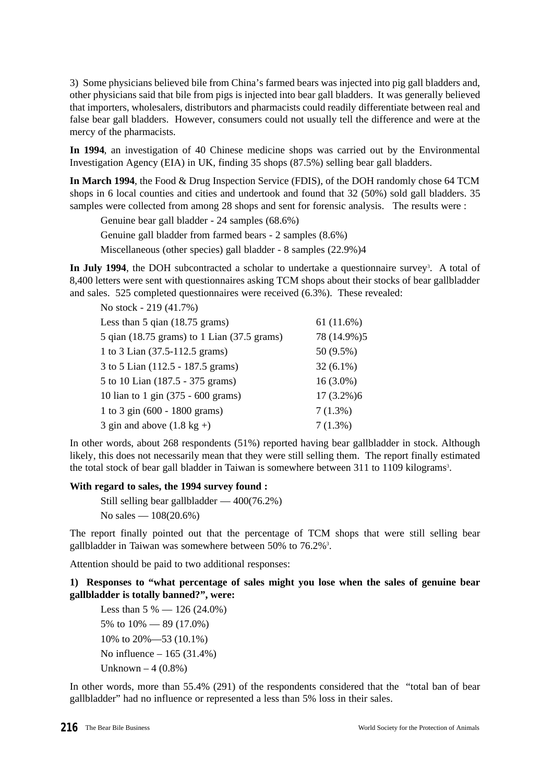3) Some physicians believed bile from China's farmed bears was injected into pig gall bladders and, other physicians said that bile from pigs is injected into bear gall bladders. It was generally believed that importers, wholesalers, distributors and pharmacists could readily differentiate between real and false bear gall bladders. However, consumers could not usually tell the difference and were at the mercy of the pharmacists.

**In 1994**, an investigation of 40 Chinese medicine shops was carried out by the Environmental Investigation Agency (EIA) in UK, finding 35 shops (87.5%) selling bear gall bladders.

**In March 1994**, the Food & Drug Inspection Service (FDIS), of the DOH randomly chose 64 TCM shops in 6 local counties and cities and undertook and found that 32 (50%) sold gall bladders. 35 samples were collected from among 28 shops and sent for forensic analysis. The results were :

Genuine bear gall bladder - 24 samples (68.6%)

Genuine gall bladder from farmed bears - 2 samples (8.6%)

Miscellaneous (other species) gall bladder - 8 samples (22.9%)4

In July 1994, the DOH subcontracted a scholar to undertake a questionnaire survey<sup>3</sup>. A total of 8,400 letters were sent with questionnaires asking TCM shops about their stocks of bear gallbladder and sales. 525 completed questionnaires were received (6.3%). These revealed:

| No stock - 219 (41.7%)                      |              |
|---------------------------------------------|--------------|
| Less than $5$ qian $(18.75$ grams)          | 61(11.6%)    |
| 5 qian (18.75 grams) to 1 Lian (37.5 grams) | 78 (14.9%)5  |
| 1 to 3 Lian (37.5-112.5 grams)              | 50 (9.5%)    |
| 3 to 5 Lian (112.5 - 187.5 grams)           | $32(6.1\%)$  |
| 5 to 10 Lian (187.5 - 375 grams)            | $16(3.0\%)$  |
| 10 lian to 1 gin (375 - 600 grams)          | $17(3.2\%)6$ |
| 1 to 3 gin (600 - 1800 grams)               | $7(1.3\%)$   |
| 3 gin and above $(1.8 \text{ kg} +)$        | $7(1.3\%)$   |

In other words, about 268 respondents (51%) reported having bear gallbladder in stock. Although likely, this does not necessarily mean that they were still selling them. The report finally estimated the total stock of bear gall bladder in Taiwan is somewhere between 311 to 1109 kilograms<sup>3</sup>.

#### **With regard to sales, the 1994 survey found :**

Still selling bear gallbladder — 400(76.2%) No sales — 108(20.6%)

The report finally pointed out that the percentage of TCM shops that were still selling bear gallbladder in Taiwan was somewhere between 50% to 76.2%<sup>3</sup>.

Attention should be paid to two additional responses:

**1) Responses to "what percentage of sales might you lose when the sales of genuine bear gallbladder is totally banned?", were:**

```
Less than 5\% - 126(24.0\%)5% to 10% — 89 (17.0%)
10% to 20%—53 (10.1%)
No influence – 165 (31.4%)
Unknown -4(0.8\%)
```
In other words, more than 55.4% (291) of the respondents considered that the "total ban of bear gallbladder" had no influence or represented a less than 5% loss in their sales.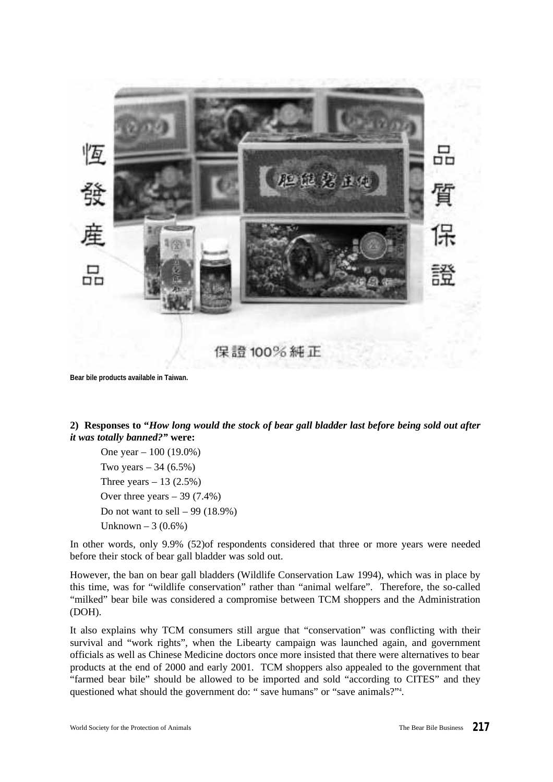

**Bear bile products available in Taiwan.**

**2) Responses to "***How long would the stock of bear gall bladder last before being sold out after it was totally banned?"* **were:**

One year – 100 (19.0%) Two years  $-34$  (6.5%) Three years  $-13$  (2.5%) Over three years  $-39$  (7.4%) Do not want to sell – 99 (18.9%) Unknown – 3  $(0.6\%)$ 

In other words, only 9.9% (52)of respondents considered that three or more years were needed before their stock of bear gall bladder was sold out.

However, the ban on bear gall bladders (Wildlife Conservation Law 1994), which was in place by this time, was for "wildlife conservation" rather than "animal welfare". Therefore, the so-called "milked" bear bile was considered a compromise between TCM shoppers and the Administration (DOH).

It also explains why TCM consumers still argue that "conservation" was conflicting with their survival and "work rights", when the Libearty campaign was launched again, and government officials as well as Chinese Medicine doctors once more insisted that there were alternatives to bear products at the end of 2000 and early 2001. TCM shoppers also appealed to the government that "farmed bear bile" should be allowed to be imported and sold "according to CITES" and they questioned what should the government do: " save humans" or "save animals?"<sup>4</sup>.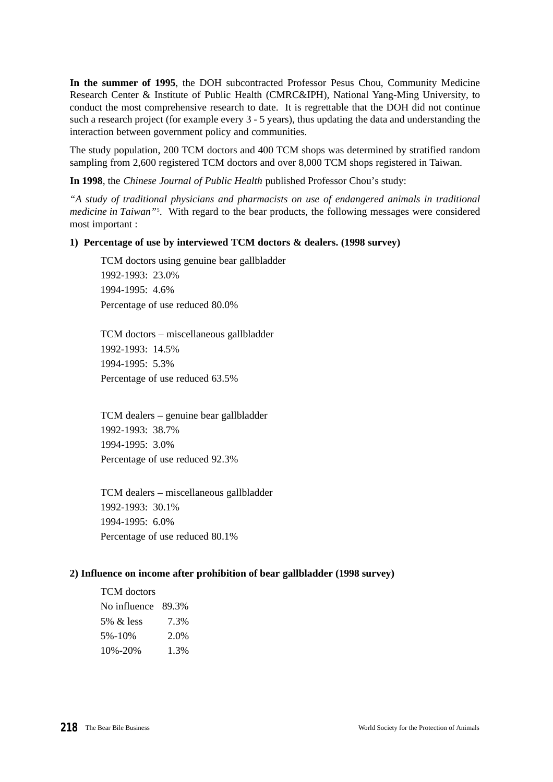**In the summer of 1995**, the DOH subcontracted Professor Pesus Chou, Community Medicine Research Center & Institute of Public Health (CMRC&IPH), National Yang-Ming University, to conduct the most comprehensive research to date. It is regrettable that the DOH did not continue such a research project (for example every 3 - 5 years), thus updating the data and understanding the interaction between government policy and communities.

The study population, 200 TCM doctors and 400 TCM shops was determined by stratified random sampling from 2,600 registered TCM doctors and over 8,000 TCM shops registered in Taiwan.

**In 1998**, the *Chinese Journal of Public Health* published Professor Chou's study:

*"A study of traditional physicians and pharmacists on use of endangered animals in traditional medicine in Taiwan"*<sup>5</sup> . With regard to the bear products, the following messages were considered most important :

#### **1) Percentage of use by interviewed TCM doctors & dealers. (1998 survey)**

TCM doctors using genuine bear gallbladder 1992-1993: 23.0% 1994-1995: 4.6% Percentage of use reduced 80.0%

TCM doctors – miscellaneous gallbladder 1992-1993: 14.5% 1994-1995: 5.3% Percentage of use reduced 63.5%

TCM dealers – genuine bear gallbladder 1992-1993: 38.7% 1994-1995: 3.0% Percentage of use reduced 92.3%

TCM dealers – miscellaneous gallbladder 1992-1993: 30.1% 1994-1995: 6.0% Percentage of use reduced 80.1%

#### **2) Influence on income after prohibition of bear gallbladder (1998 survey)**

TCM doctors No influence 89.3% 5% & less 7.3% 5%-10% 2.0% 10%-20% 1.3%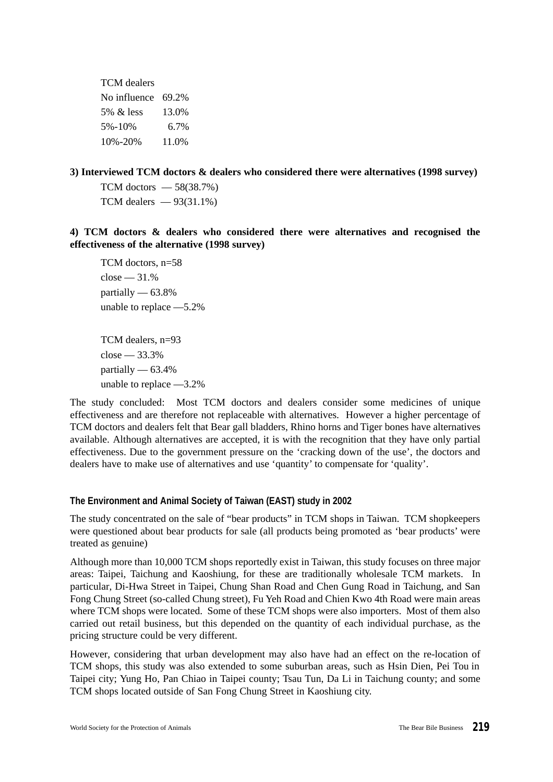TCM dealers No influence 69.2% 5% & less 13.0% 5%-10% 6.7% 10%-20% 11.0%

**3) Interviewed TCM doctors & dealers who considered there were alternatives (1998 survey)**

TCM doctors  $-58(38.7%)$ TCM dealers  $-93(31.1\%)$ 

**4) TCM doctors & dealers who considered there were alternatives and recognised the effectiveness of the alternative (1998 survey)**

TCM doctors, n=58  $close = 31.%$ partially — 63.8% unable to replace —5.2%

TCM dealers, n=93  $close = 33.3%$ partially  $-63.4%$ unable to replace —3.2%

The study concluded: Most TCM doctors and dealers consider some medicines of unique effectiveness and are therefore not replaceable with alternatives. However a higher percentage of TCM doctors and dealers felt that Bear gall bladders, Rhino horns and Tiger bones have alternatives available. Although alternatives are accepted, it is with the recognition that they have only partial effectiveness. Due to the government pressure on the 'cracking down of the use', the doctors and dealers have to make use of alternatives and use 'quantity' to compensate for 'quality'.

#### **The Environment and Animal Society of Taiwan (EAST) study in 2002**

The study concentrated on the sale of "bear products" in TCM shops in Taiwan. TCM shopkeepers were questioned about bear products for sale (all products being promoted as 'bear products' were treated as genuine)

Although more than 10,000 TCM shops reportedly exist in Taiwan, this study focuses on three major areas: Taipei, Taichung and Kaoshiung, for these are traditionally wholesale TCM markets. In particular, Di-Hwa Street in Taipei, Chung Shan Road and Chen Gung Road in Taichung, and San Fong Chung Street (so-called Chung street), Fu Yeh Road and Chien Kwo 4th Road were main areas where TCM shops were located. Some of these TCM shops were also importers. Most of them also carried out retail business, but this depended on the quantity of each individual purchase, as the pricing structure could be very different.

However, considering that urban development may also have had an effect on the re-location of TCM shops, this study was also extended to some suburban areas, such as Hsin Dien, Pei Tou in Taipei city; Yung Ho, Pan Chiao in Taipei county; Tsau Tun, Da Li in Taichung county; and some TCM shops located outside of San Fong Chung Street in Kaoshiung city.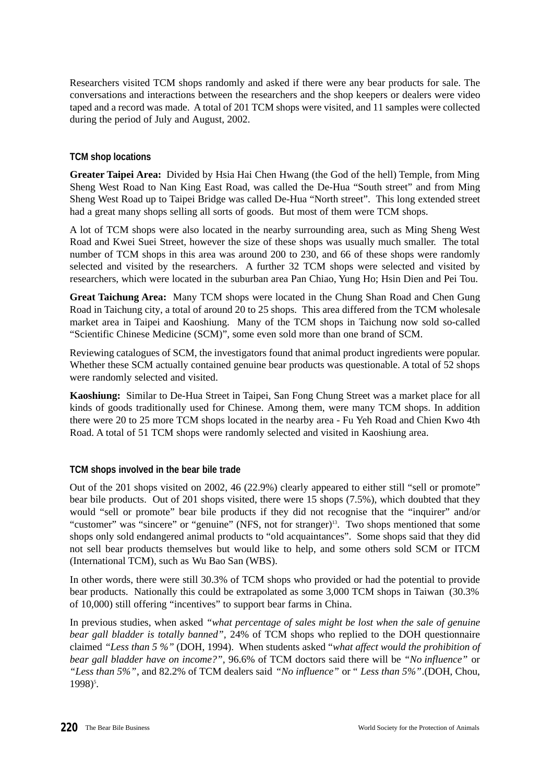Researchers visited TCM shops randomly and asked if there were any bear products for sale. The conversations and interactions between the researchers and the shop keepers or dealers were video taped and a record was made. A total of 201 TCM shops were visited, and 11 samples were collected during the period of July and August, 2002.

## **TCM shop locations**

**Greater Taipei Area:** Divided by Hsia Hai Chen Hwang (the God of the hell) Temple, from Ming Sheng West Road to Nan King East Road, was called the De-Hua "South street" and from Ming Sheng West Road up to Taipei Bridge was called De-Hua "North street". This long extended street had a great many shops selling all sorts of goods. But most of them were TCM shops.

A lot of TCM shops were also located in the nearby surrounding area, such as Ming Sheng West Road and Kwei Suei Street, however the size of these shops was usually much smaller. The total number of TCM shops in this area was around 200 to 230, and 66 of these shops were randomly selected and visited by the researchers. A further 32 TCM shops were selected and visited by researchers, which were located in the suburban area Pan Chiao, Yung Ho; Hsin Dien and Pei Tou.

**Great Taichung Area:** Many TCM shops were located in the Chung Shan Road and Chen Gung Road in Taichung city, a total of around 20 to 25 shops. This area differed from the TCM wholesale market area in Taipei and Kaoshiung. Many of the TCM shops in Taichung now sold so-called "Scientific Chinese Medicine (SCM)", some even sold more than one brand of SCM.

Reviewing catalogues of SCM, the investigators found that animal product ingredients were popular. Whether these SCM actually contained genuine bear products was questionable. A total of 52 shops were randomly selected and visited.

**Kaoshiung:** Similar to De-Hua Street in Taipei, San Fong Chung Street was a market place for all kinds of goods traditionally used for Chinese. Among them, were many TCM shops. In addition there were 20 to 25 more TCM shops located in the nearby area - Fu Yeh Road and Chien Kwo 4th Road. A total of 51 TCM shops were randomly selected and visited in Kaoshiung area.

#### **TCM shops involved in the bear bile trade**

Out of the 201 shops visited on 2002, 46 (22.9%) clearly appeared to either still "sell or promote" bear bile products. Out of 201 shops visited, there were 15 shops (7.5%), which doubted that they would "sell or promote" bear bile products if they did not recognise that the "inquirer" and/or "customer" was "sincere" or "genuine" (NFS, not for stranger)<sup>13</sup>. Two shops mentioned that some shops only sold endangered animal products to "old acquaintances". Some shops said that they did not sell bear products themselves but would like to help, and some others sold SCM or ITCM (International TCM), such as Wu Bao San (WBS).

In other words, there were still 30.3% of TCM shops who provided or had the potential to provide bear products. Nationally this could be extrapolated as some 3,000 TCM shops in Taiwan (30.3% of 10,000) still offering "incentives" to support bear farms in China.

In previous studies, when asked *"what percentage of sales might be lost when the sale of genuine bear gall bladder is totally banned",* 24% of TCM shops who replied to the DOH questionnaire claimed *"Less than 5 %"* (DOH, 1994). When students asked "*what affect would the prohibition of bear gall bladder have on income?",* 96.6% of TCM doctors said there will be *"No influence"* or *"Less than 5%"*, and 82.2% of TCM dealers said *"No influence"* or " *Less than 5%"*.(DOH, Chou, 1998)<sup>5</sup>.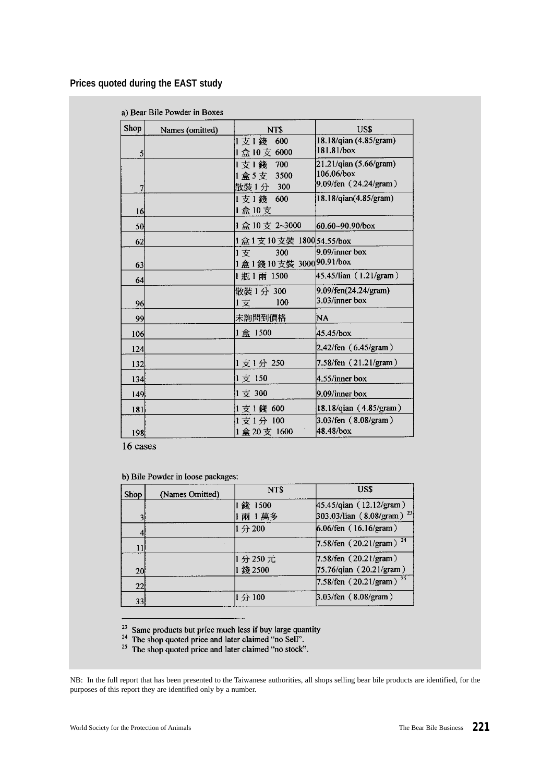## **Prices quoted during the EAST study**

|  |  |  | a) Bear Bile Powder in Boxes |  |  |
|--|--|--|------------------------------|--|--|
|--|--|--|------------------------------|--|--|

| Shop             | Names (omitted) | NT\$                         | US\$                          |
|------------------|-----------------|------------------------------|-------------------------------|
|                  |                 | 1支1錢<br>600                  | 18.18/qian (4.85/gram)        |
| 5                |                 | 1盒10支6000                    | 181.81/box                    |
|                  |                 | 1支1錢 700                     | $21.21$ /qian (5.66/gram)     |
|                  |                 | 1盒5支 3500                    | 106.06/box                    |
| 7                |                 | 散裝1分 300                     | $9.09$ /fen $(24.24)$ gram)   |
|                  |                 | 1支1錢 600                     | 18.18/qian(4.85/gram)         |
| 16               |                 | 1盒10支                        |                               |
| 50               |                 | 1盒10支 2~3000                 | 60.60~90.90/box               |
| 62               |                 | 1 盒 1 支 10 支裝 1800 54.55/box |                               |
|                  |                 | 1支<br>300                    | $9.09$ /inner box             |
| 63               |                 | 1盒1錢10支裝 3000 90.91/box      |                               |
| 64               |                 | 1瓶1兩 1500                    | $45.45$ /lian (1.21/gram)     |
|                  |                 | 散裝 1分 300                    | 9.09/fen(24.24/gram)          |
| 96               |                 | 100<br>1支                    | $3.03$ /inner box             |
| 99               |                 | 未詢問到價格                       | NA                            |
| 106              |                 | 1盒 1500                      | 45.45/box                     |
| 124              |                 |                              | 2.42/fen $(6.45/\text{gram})$ |
| 132              |                 | 1支1分 250                     | 7.58/fen (21.21/gram)         |
| 134              |                 | 1支 150                       | 4.55/inner box                |
| 149 <sup>t</sup> |                 | 1支 300                       | 9.09/inner box                |
| 181              |                 | 1支1錢 600                     | 18.18/qian (4.85/gram)        |
|                  |                 | 1支1分 100                     | 3.03/fen (8.08/gram)          |
| 198              |                 | 1盒20支 1600                   | 48.48/box                     |

16 cases

b) Bile Powder in loose packages:

| <b>Shop</b>     | (Names Omitted) | NT\$                  | US\$                                                                |
|-----------------|-----------------|-----------------------|---------------------------------------------------------------------|
|                 |                 | 錢 1500<br>兩 1萬多       | 45.45/qian (12.12/gram)<br>$303.03$ /lian (8.08/gram) <sup>23</sup> |
|                 |                 | $\leftrightarrow$ 200 | $6.06$ /fen (16.16/gram)                                            |
|                 |                 |                       | 7.58/fen $(20.21/\text{gram})^{24}$                                 |
| 20 <sub>l</sub> |                 | 1分250元<br>錢 2500      | 7.58/fen (20.21/gram)<br>75.76/qian (20.21/gram)                    |
| 22              |                 |                       | 7.58/fen $(20.21/\text{gram})^{25}$                                 |
| 33              |                 | 分 100                 | 3.03/fen (8.08/gram)                                                |

- 
- <sup>23</sup> Same products but price much less if buy large quantity  $24$  The shop quoted price and later claimed "no Sell".<br><sup>25</sup> The shop quoted price and later claimed "no stock".

NB: In the full report that has been presented to the Taiwanese authorities, all shops selling bear bile products are identified, for the purposes of this report they are identified only by a number.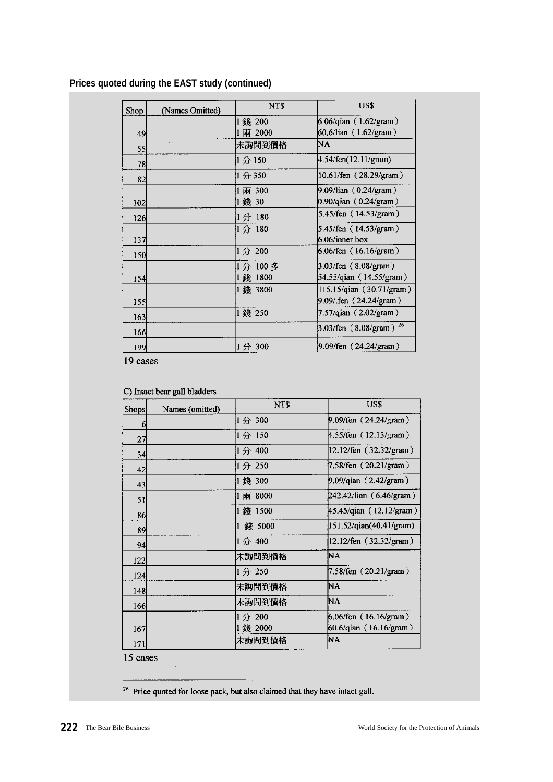# **Prices quoted during the EAST study (continued)**

| Shop | (Names Omitted) | NT\$      | US\$                                     |
|------|-----------------|-----------|------------------------------------------|
|      |                 | 錢 200     | 6.06/qian (1.62/gram)                    |
| 49   |                 | 兩 2000    | 60.6/lian (1.62/gram)                    |
| 55   | ×.              | 未詢問到價格    | NA                                       |
| 78   |                 | 1分150     | $4.54$ /fen $(12.11)$ gram)              |
| 82   |                 | 1分350     | $(10.61/\text{fen} (28.29/\text{gram}))$ |
|      |                 | 兩 300     | 9.09/lian (0.24/gram)                    |
| 102  |                 | 錢 30      | $0.90$ /qian $(0.24)$ gram)              |
| 126  |                 | 1分 180    | 5.45/fen $(14.53/gram)$                  |
|      |                 | 1分 180    | 5.45/fen (14.53/gram)                    |
| 137  |                 |           | $6.06$ /inner box                        |
| 150  |                 | 1分 200    | 6.06/fen $(16.16/\text{gram})$           |
|      |                 | 1分 100多   | $3.03$ /fen (8.08/gram)                  |
| 154  |                 | 1800<br>錢 | 54.55/qian (14.55/gram)                  |
|      |                 | 1 錢 3800  | 115.15/qian (30.71/gram)                 |
| 155  |                 |           | 9.09/.fen (24.24/gram)                   |
| 163  |                 | 1 錢 250   | 7.57/qian $(2.02)$ gram)                 |
| 166  |                 |           | $3.03$ /fen (8.08/gram) <sup>26</sup>    |
| 199  |                 | 1分 300    | 9.09/fen (24.24/gram)                    |

 $19$  cases

#### C) Intact bear gall bladders

| Shops | Names (omitted) | NT\$     | US\$                             |
|-------|-----------------|----------|----------------------------------|
| 6     |                 | 1分 300   | 9.09/fen (24.24/gram)            |
| 27    |                 | 1分 150   | $4.55$ /fen (12.13/gram)         |
| 34    |                 | 1分 400   | $ 12.12$ /fen $(32.32)$ gram $)$ |
| 42    |                 | 1分 250   | 7.58/fen (20.21/gram)            |
| 43    |                 | 錢 300    | $9.09$ /qian $(2.42)$ gram)      |
| 51    |                 | 兩 8000   | 242.42/lian (6.46/gram)          |
| 86    |                 | 錢 1500   | 45.45/qian (12.12/gram)          |
| 89    |                 | 錢 5000   | 151.52/qian(40.41/gram)          |
| 94    |                 | 1分 400   | 12.12/fen $(32.32)$ gram)        |
| 122   |                 | 未詢問到價格   | ΝA                               |
| 124   |                 | 1分 250   | 7.58/fen $(20.21/\text{gram})$   |
| 148   |                 | 未詢問到價格   | NA                               |
| 166   |                 | 未詢問到價格   | ΝA                               |
|       |                 | 分 200    | 6.06/fen $(16.16/gram)$          |
| 167   |                 | 1 錢 2000 | 60.6/qian (16.16/gram)           |
| 171   |                 | 床詢問到價格   | NA                               |

 $15$  cases

<sup>26</sup> Price quoted for loose pack, but also claimed that they have intact gall.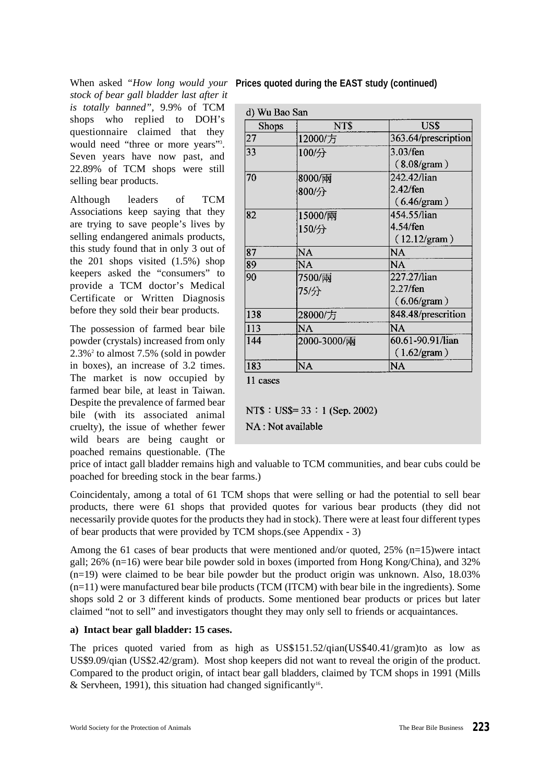*stock of bear gall bladder last after it is totally banned",* 9.9% of TCM shops who replied to DOH's questionnaire claimed that they would need "three or more years"<sup>3</sup>. Seven years have now past, and 22.89% of TCM shops were still selling bear products.

Although leaders of TCM Associations keep saying that they are trying to save people's lives by selling endangered animals products, this study found that in only 3 out of the 201 shops visited (1.5%) shop keepers asked the "consumers" to provide a TCM doctor's Medical Certificate or Written Diagnosis before they sold their bear products.

The possession of farmed bear bile powder (crystals) increased from only  $2.3\%$ <sup>2</sup> to almost 7.5% (sold in powder in boxes), an increase of 3.2 times. The market is now occupied by farmed bear bile, at least in Taiwan. Despite the prevalence of farmed bear bile (with its associated animal cruelty), the issue of whether fewer wild bears are being caught or poached remains questionable. (The

# When asked *"How long would your* **Prices quoted during the EAST study (continued)**

| d) Wu Bao San |             |                       |
|---------------|-------------|-----------------------|
| Shops         | NT\$        | US\$                  |
| 27            | 12000/方     | 363.64/prescription   |
| 33            | 100/分       | 3.03/fen              |
|               |             | $(8.08)$ gram $)$     |
| 70            | 8000/兩      | 242.42/lian           |
|               | 800/分       | $2.42$ /fen           |
|               |             | (6.46/gram)           |
| 82            | 15000/兩     | 454.55/lian           |
|               | 150/分       | 4.54/fen              |
|               |             | $(12.12/\text{gram})$ |
| 87            | NA          | NA                    |
| 89            | NA          | NA                    |
| 90            | 7500/兩      | 227.27/lian           |
|               | 75/分        | 2.27/fen              |
|               |             | (6.06/gram)           |
| 138           | 28000/方     | 848.48/prescrition    |
| 113           | NA          | NA                    |
| 144           | 2000-3000/兩 | 60.61-90.91/lian      |
|               |             | $(1.62/\text{gram})$  |
| 183           | NA          | <b>NA</b>             |

11 cases

NT\$ : US\$ =  $33 : 1$  (Sep. 2002)

NA: Not available

price of intact gall bladder remains high and valuable to TCM communities, and bear cubs could be poached for breeding stock in the bear farms.)

Coincidentaly, among a total of 61 TCM shops that were selling or had the potential to sell bear products, there were 61 shops that provided quotes for various bear products (they did not necessarily provide quotes for the products they had in stock). There were at least four different types of bear products that were provided by TCM shops.(see Appendix - 3)

Among the 61 cases of bear products that were mentioned and/or quoted, 25% (n=15)were intact gall; 26% (n=16) were bear bile powder sold in boxes (imported from Hong Kong/China), and 32%  $(n=19)$  were claimed to be bear bile powder but the product origin was unknown. Also, 18.03% (n=11) were manufactured bear bile products (TCM (ITCM) with bear bile in the ingredients). Some shops sold 2 or 3 different kinds of products. Some mentioned bear products or prices but later claimed "not to sell" and investigators thought they may only sell to friends or acquaintances.

#### **a) Intact bear gall bladder: 15 cases.**

The prices quoted varied from as high as US\$151.52/qian(US\$40.41/gram)to as low as US\$9.09/qian (US\$2.42/gram). Most shop keepers did not want to reveal the origin of the product. Compared to the product origin, of intact bear gall bladders, claimed by TCM shops in 1991 (Mills & Servheen, 1991), this situation had changed significantly<sup>16</sup>.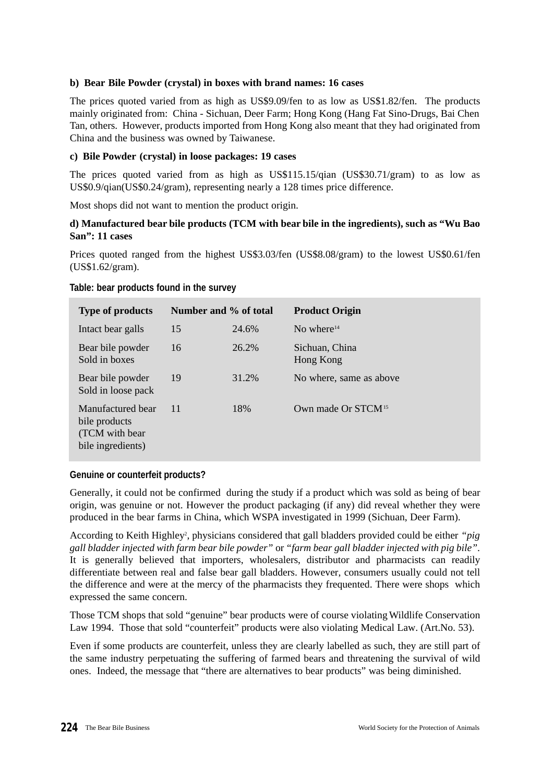## **b) Bear Bile Powder (crystal) in boxes with brand names: 16 cases**

The prices quoted varied from as high as US\$9.09/fen to as low as US\$1.82/fen. The products mainly originated from: China - Sichuan, Deer Farm; Hong Kong (Hang Fat Sino-Drugs, Bai Chen Tan, others. However, products imported from Hong Kong also meant that they had originated from China and the business was owned by Taiwanese.

#### **c) Bile Powder (crystal) in loose packages: 19 cases**

The prices quoted varied from as high as US\$115.15/qian (US\$30.71/gram) to as low as US\$0.9/qian(US\$0.24/gram), representing nearly a 128 times price difference.

Most shops did not want to mention the product origin.

## **d) Manufactured bear bile products (TCM with bear bile in the ingredients), such as "Wu Bao San": 11 cases**

Prices quoted ranged from the highest US\$3.03/fen (US\$8.08/gram) to the lowest US\$0.61/fen (US\$1.62/gram).

| <b>Type of products</b>                                                   | Number and % of total |       | <b>Product Origin</b>          |
|---------------------------------------------------------------------------|-----------------------|-------|--------------------------------|
| Intact bear galls                                                         | 15                    | 24.6% | No where $14$                  |
| Bear bile powder<br>Sold in boxes                                         | 16                    | 26.2% | Sichuan, China<br>Hong Kong    |
| Bear bile powder<br>Sold in loose pack                                    | 19                    | 31.2% | No where, same as above        |
| Manufactured bear<br>bile products<br>(TCM with bear<br>bile ingredients) | -11                   | 18%   | Own made Or STCM <sup>15</sup> |

#### **Table: bear products found in the survey**

#### **Genuine or counterfeit products?**

Generally, it could not be confirmed during the study if a product which was sold as being of bear origin, was genuine or not. However the product packaging (if any) did reveal whether they were produced in the bear farms in China, which WSPA investigated in 1999 (Sichuan, Deer Farm).

According to Keith Highley<sup>2</sup>, physicians considered that gall bladders provided could be either "pig *gall bladder injected with farm bear bile powder"* or *"farm bear gall bladder injected with pig bile"*. It is generally believed that importers, wholesalers, distributor and pharmacists can readily differentiate between real and false bear gall bladders. However, consumers usually could not tell the difference and were at the mercy of the pharmacists they frequented. There were shops which expressed the same concern.

Those TCM shops that sold "genuine" bear products were of course violating Wildlife Conservation Law 1994. Those that sold "counterfeit" products were also violating Medical Law. (Art.No. 53).

Even if some products are counterfeit, unless they are clearly labelled as such, they are still part of the same industry perpetuating the suffering of farmed bears and threatening the survival of wild ones. Indeed, the message that "there are alternatives to bear products" was being diminished.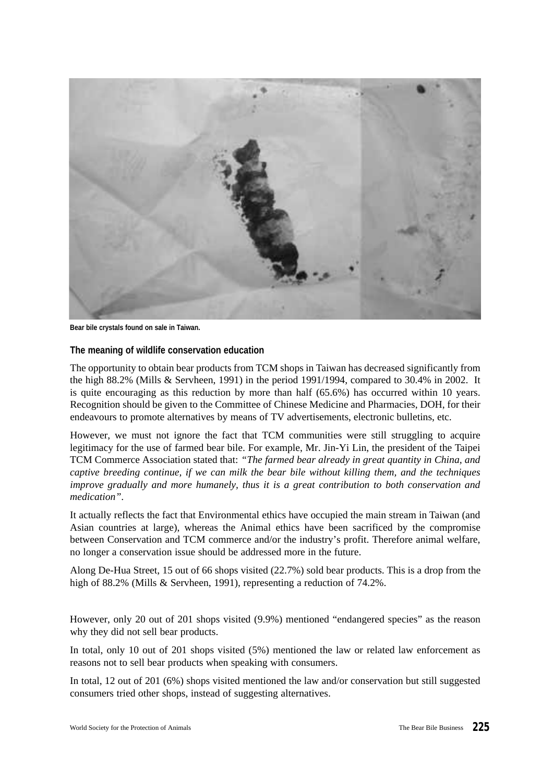

**Bear bile crystals found on sale in Taiwan.**

#### **The meaning of wildlife conservation education**

The opportunity to obtain bear products from TCM shops in Taiwan has decreased significantly from the high 88.2% (Mills & Servheen, 1991) in the period 1991/1994, compared to 30.4% in 2002. It is quite encouraging as this reduction by more than half  $(65.6%)$  has occurred within 10 years. Recognition should be given to the Committee of Chinese Medicine and Pharmacies, DOH, for their endeavours to promote alternatives by means of TV advertisements, electronic bulletins, etc.

However, we must not ignore the fact that TCM communities were still struggling to acquire legitimacy for the use of farmed bear bile. For example, Mr. Jin-Yi Lin, the president of the Taipei TCM Commerce Association stated that: *"The farmed bear already in great quantity in China, and captive breeding continue, if we can milk the bear bile without killing them, and the techniques improve gradually and more humanely, thus it is a great contribution to both conservation and medication"*.

It actually reflects the fact that Environmental ethics have occupied the main stream in Taiwan (and Asian countries at large), whereas the Animal ethics have been sacrificed by the compromise between Conservation and TCM commerce and/or the industry's profit. Therefore animal welfare, no longer a conservation issue should be addressed more in the future.

Along De-Hua Street, 15 out of 66 shops visited (22.7%) sold bear products. This is a drop from the high of 88.2% (Mills & Servheen, 1991), representing a reduction of 74.2%.

However, only 20 out of 201 shops visited (9.9%) mentioned "endangered species" as the reason why they did not sell bear products.

In total, only 10 out of 201 shops visited (5%) mentioned the law or related law enforcement as reasons not to sell bear products when speaking with consumers.

In total, 12 out of 201 (6%) shops visited mentioned the law and/or conservation but still suggested consumers tried other shops, instead of suggesting alternatives.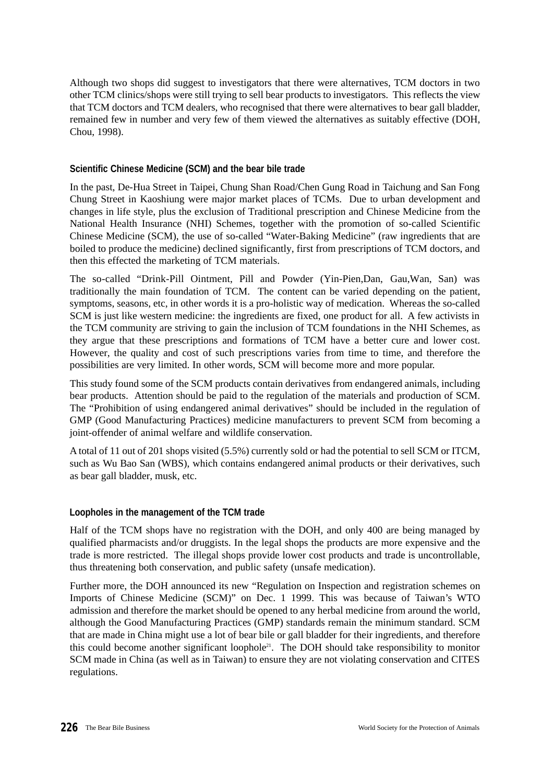Although two shops did suggest to investigators that there were alternatives, TCM doctors in two other TCM clinics/shops were still trying to sell bear products to investigators. This reflects the view that TCM doctors and TCM dealers, who recognised that there were alternatives to bear gall bladder, remained few in number and very few of them viewed the alternatives as suitably effective (DOH, Chou, 1998).

## **Scientific Chinese Medicine (SCM) and the bear bile trade**

In the past, De-Hua Street in Taipei, Chung Shan Road/Chen Gung Road in Taichung and San Fong Chung Street in Kaoshiung were major market places of TCMs. Due to urban development and changes in life style, plus the exclusion of Traditional prescription and Chinese Medicine from the National Health Insurance (NHI) Schemes, together with the promotion of so-called Scientific Chinese Medicine (SCM), the use of so-called "Water-Baking Medicine" (raw ingredients that are boiled to produce the medicine) declined significantly, first from prescriptions of TCM doctors, and then this effected the marketing of TCM materials.

The so-called "Drink-Pill Ointment, Pill and Powder (Yin-Pien,Dan, Gau,Wan, San) was traditionally the main foundation of TCM. The content can be varied depending on the patient, symptoms, seasons, etc, in other words it is a pro-holistic way of medication. Whereas the so-called SCM is just like western medicine: the ingredients are fixed, one product for all. A few activists in the TCM community are striving to gain the inclusion of TCM foundations in the NHI Schemes, as they argue that these prescriptions and formations of TCM have a better cure and lower cost. However, the quality and cost of such prescriptions varies from time to time, and therefore the possibilities are very limited. In other words, SCM will become more and more popular.

This study found some of the SCM products contain derivatives from endangered animals, including bear products. Attention should be paid to the regulation of the materials and production of SCM. The "Prohibition of using endangered animal derivatives" should be included in the regulation of GMP (Good Manufacturing Practices) medicine manufacturers to prevent SCM from becoming a joint-offender of animal welfare and wildlife conservation.

A total of 11 out of 201 shops visited (5.5%) currently sold or had the potential to sell SCM or ITCM, such as Wu Bao San (WBS), which contains endangered animal products or their derivatives, such as bear gall bladder, musk, etc.

#### **Loopholes in the management of the TCM trade**

Half of the TCM shops have no registration with the DOH, and only 400 are being managed by qualified pharmacists and/or druggists. In the legal shops the products are more expensive and the trade is more restricted. The illegal shops provide lower cost products and trade is uncontrollable, thus threatening both conservation, and public safety (unsafe medication).

Further more, the DOH announced its new "Regulation on Inspection and registration schemes on Imports of Chinese Medicine (SCM)" on Dec. 1 1999. This was because of Taiwan's WTO admission and therefore the market should be opened to any herbal medicine from around the world, although the Good Manufacturing Practices (GMP) standards remain the minimum standard. SCM that are made in China might use a lot of bear bile or gall bladder for their ingredients, and therefore this could become another significant loophole<sup>21</sup>. The DOH should take responsibility to monitor SCM made in China (as well as in Taiwan) to ensure they are not violating conservation and CITES regulations.